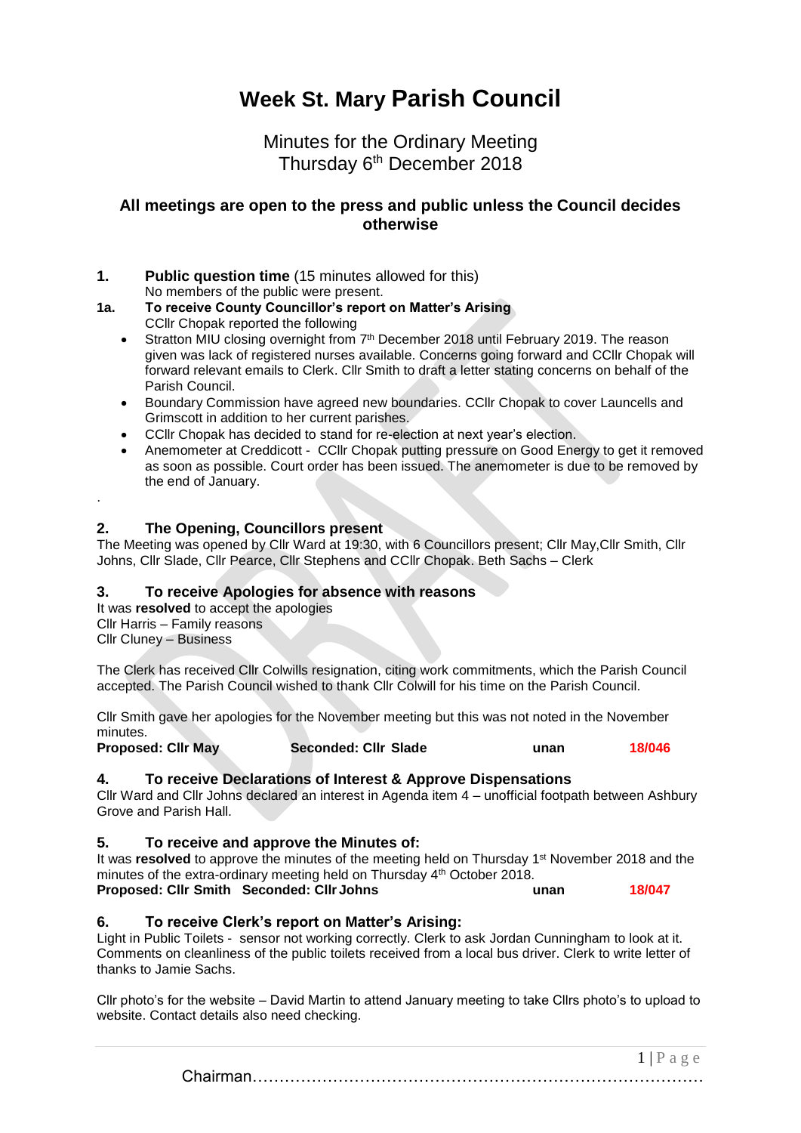# **Week St. Mary Parish Council**

Minutes for the Ordinary Meeting Thursday 6<sup>th</sup> December 2018

## **All meetings are open to the press and public unless the Council decides otherwise**

- **1. Public question time** (15 minutes allowed for this) No members of the public were present.
- **1a. To receive County Councillor's report on Matter's Arising** CCllr Chopak reported the following
	- Stratton MIU closing overnight from 7<sup>th</sup> December 2018 until February 2019. The reason given was lack of registered nurses available. Concerns going forward and CCllr Chopak will forward relevant emails to Clerk. Cllr Smith to draft a letter stating concerns on behalf of the Parish Council.
	- Boundary Commission have agreed new boundaries. CCllr Chopak to cover Launcells and Grimscott in addition to her current parishes.
	- CCllr Chopak has decided to stand for re-election at next year's election.
	- Anemometer at Creddicott CCllr Chopak putting pressure on Good Energy to get it removed as soon as possible. Court order has been issued. The anemometer is due to be removed by the end of January.

## **2. The Opening, Councillors present**

The Meeting was opened by Cllr Ward at 19:30, with 6 Councillors present; Cllr May,Cllr Smith, Cllr Johns, Cllr Slade, Cllr Pearce, Cllr Stephens and CCllr Chopak. Beth Sachs – Clerk

## **3. To receive Apologies for absence with reasons**

It was **resolved** to accept the apologies Cllr Harris – Family reasons Cllr Cluney – Business

.

The Clerk has received Cllr Colwills resignation, citing work commitments, which the Parish Council accepted. The Parish Council wished to thank Cllr Colwill for his time on the Parish Council.

Cllr Smith gave her apologies for the November meeting but this was not noted in the November minutes.

**Proposed: Cllr May Seconded: Cllr Slade unan 18/046**

## **4. To receive Declarations of Interest & Approve Dispensations**

Cllr Ward and Cllr Johns declared an interest in Agenda item 4 – unofficial footpath between Ashbury Grove and Parish Hall.

## **5. To receive and approve the Minutes of:**

It was **resolved** to approve the minutes of the meeting held on Thursday 1<sup>st</sup> November 2018 and the minutes of the extra-ordinary meeting held on Thursday 4th October 2018.

**Proposed: Cllr Smith Seconded: Cllr Johns unan 18/047**

## **6. To receive Clerk's report on Matter's Arising:**

Light in Public Toilets - sensor not working correctly. Clerk to ask Jordan Cunningham to look at it. Comments on cleanliness of the public toilets received from a local bus driver. Clerk to write letter of thanks to Jamie Sachs.

Cllr photo's for the website – David Martin to attend January meeting to take Cllrs photo's to upload to website. Contact details also need checking.

> $1 | P a \ge e$ Chairman…………………………………………………………………………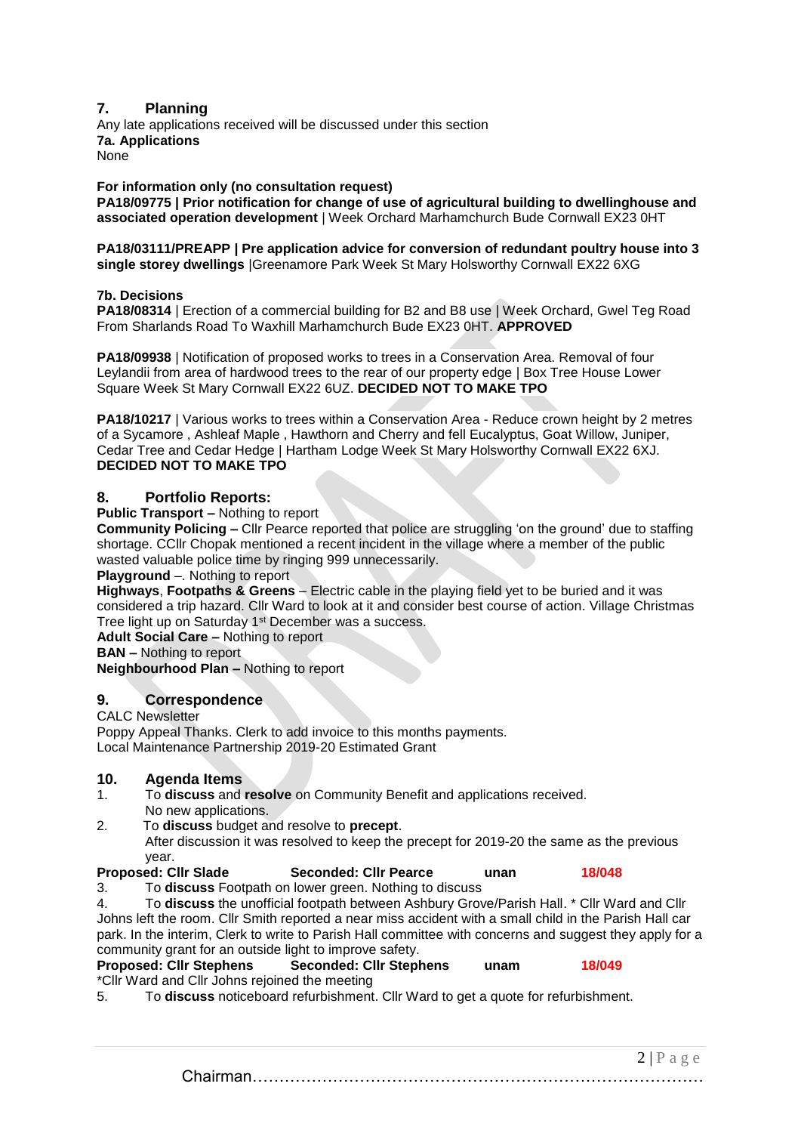## **7. Planning**

Any late applications received will be discussed under this section **7a. Applications** None

#### **For information only (no consultation request)**

**PA18/09775 | Prior notification for change of use of agricultural building to dwellinghouse and associated operation development** | Week Orchard Marhamchurch Bude Cornwall EX23 0HT

#### **PA18/03111/PREAPP | Pre application advice for conversion of redundant poultry house into 3 single storey dwellings** |Greenamore Park Week St Mary Holsworthy Cornwall EX22 6XG

#### **7b. Decisions**

**PA18/08314** | Erection of a commercial building for B2 and B8 use | Week Orchard, Gwel Teg Road From Sharlands Road To Waxhill Marhamchurch Bude EX23 0HT. **APPROVED**

**PA18/09938** | Notification of proposed works to trees in a Conservation Area. Removal of four Leylandii from area of hardwood trees to the rear of our property edge | Box Tree House Lower Square Week St Mary Cornwall EX22 6UZ. **DECIDED NOT TO MAKE TPO**

**PA18/10217** | Various works to trees within a Conservation Area - Reduce crown height by 2 metres of a Sycamore , Ashleaf Maple , Hawthorn and Cherry and fell Eucalyptus, Goat Willow, Juniper, Cedar Tree and Cedar Hedge | Hartham Lodge Week St Mary Holsworthy Cornwall EX22 6XJ. **DECIDED NOT TO MAKE TPO**

#### **8. Portfolio Reports:**

#### **Public Transport –** Nothing to report

**Community Policing –** Cllr Pearce reported that police are struggling 'on the ground' due to staffing shortage. CCllr Chopak mentioned a recent incident in the village where a member of the public wasted valuable police time by ringing 999 unnecessarily.

**Playground** –. Nothing to report

**Highways**, **Footpaths & Greens** – Electric cable in the playing field yet to be buried and it was considered a trip hazard. Cllr Ward to look at it and consider best course of action. Village Christmas Tree light up on Saturday 1<sup>st</sup> December was a success.

**Adult Social Care –** Nothing to report

**BAN –** Nothing to report

**Neighbourhood Plan –** Nothing to report

#### **9. Correspondence**

#### CALC Newsletter

Poppy Appeal Thanks. Clerk to add invoice to this months payments. Local Maintenance Partnership 2019-20 Estimated Grant

#### **10. Agenda Items**

- 1. To **discuss** and **resolve** on Community Benefit and applications received. No new applications.
- 2. To **discuss** budget and resolve to **precept**.

After discussion it was resolved to keep the precept for 2019-20 the same as the previous year.

**Proposed: Cllr Slade Seconded: Cllr Pearce unan 18/048**

3. To **discuss** Footpath on lower green. Nothing to discuss 4. To **discuss** the unofficial footpath between Ashbury Grove/Parish Hall. \* Cllr Ward and Cllr Johns left the room. Cllr Smith reported a near miss accident with a small child in the Parish Hall car park. In the interim, Clerk to write to Parish Hall committee with concerns and suggest they apply for a community grant for an outside light to improve safety.

**Proposed: Cllr Stephens Seconded: Cllr Stephens unam 18/049** \*Cllr Ward and Cllr Johns rejoined the meeting

5. To **discuss** noticeboard refurbishment. Cllr Ward to get a quote for refurbishment.